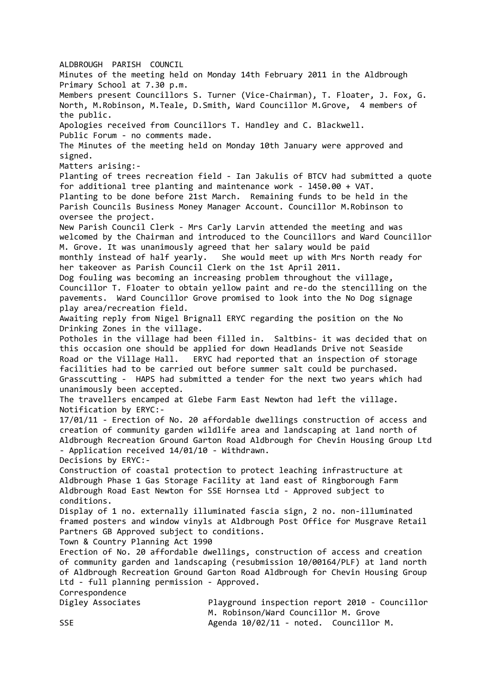ALDBROUGH PARISH COUNCIL Minutes of the meeting held on Monday 14th February 2011 in the Aldbrough Primary School at 7.30 p.m. Members present Councillors S. Turner (Vice-Chairman), T. Floater, J. Fox, G. North, M.Robinson, M.Teale, D.Smith, Ward Councillor M.Grove, 4 members of the public. Apologies received from Councillors T. Handley and C. Blackwell. Public Forum - no comments made. The Minutes of the meeting held on Monday 10th January were approved and signed. Matters arising:- Planting of trees recreation field - Ian Jakulis of BTCV had submitted a quote for additional tree planting and maintenance work - l450.00 + VAT. Planting to be done before 21st March. Remaining funds to be held in the Parish Councils Business Money Manager Account. Councillor M.Robinson to oversee the project. New Parish Council Clerk - Mrs Carly Larvin attended the meeting and was welcomed by the Chairman and introduced to the Councillors and Ward Councillor M. Grove. It was unanimously agreed that her salary would be paid monthly instead of half yearly. She would meet up with Mrs North ready for her takeover as Parish Council Clerk on the 1st April 2011. Dog fouling was becoming an increasing problem throughout the village, Councillor T. Floater to obtain yellow paint and re-do the stencilling on the pavements. Ward Councillor Grove promised to look into the No Dog signage play area/recreation field. Awaiting reply from Nigel Brignall ERYC regarding the position on the No Drinking Zones in the village. Potholes in the village had been filled in. Saltbins- it was decided that on this occasion one should be applied for down Headlands Drive not Seaside Road or the Village Hall. ERYC had reported that an inspection of storage facilities had to be carried out before summer salt could be purchased. Grasscutting - HAPS had submitted a tender for the next two years which had unanimously been accepted. The travellers encamped at Glebe Farm East Newton had left the village. Notification by ERYC:- 17/01/11 - Erection of No. 20 affordable dwellings construction of access and creation of community garden wildlife area and landscaping at land north of Aldbrough Recreation Ground Garton Road Aldbrough for Chevin Housing Group Ltd - Application received 14/01/10 - Withdrawn. Decisions by ERYC:- Construction of coastal protection to protect leaching infrastructure at Aldbrough Phase 1 Gas Storage Facility at land east of Ringborough Farm Aldbrough Road East Newton for SSE Hornsea Ltd - Approved subject to conditions. Display of 1 no. externally illuminated fascia sign, 2 no. non-illuminated framed posters and window vinyls at Aldbrough Post Office for Musgrave Retail Partners GB Approved subject to conditions. Town & Country Planning Act 1990 Erection of No. 20 affordable dwellings, construction of access and creation of community garden and landscaping (resubmission 10/00164/PLF) at land north of Aldbrough Recreation Ground Garton Road Aldbrough for Chevin Housing Group Ltd - full planning permission - Approved. Correspondence Digley Associates Playground inspection report 2010 - Councillor M. Robinson/Ward Councillor M. Grove SSE SSE Agenda 10/02/11 - noted. Councillor M.